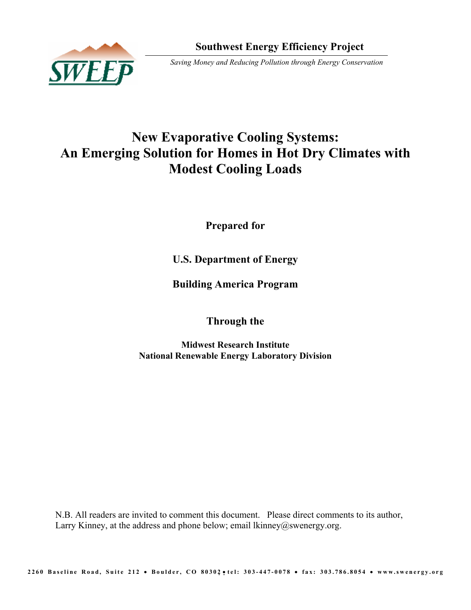

# **New Evaporative Cooling Systems: An Emerging Solution for Homes in Hot Dry Climates with Modest Cooling Loads**

**Prepared for** 

**U.S. Department of Energy** 

**Building America Program** 

**Through the** 

**Midwest Research Institute National Renewable Energy Laboratory Division** 

N.B. All readers are invited to comment this document. Please direct comments to its author, Larry Kinney, at the address and phone below; email lkinney@swenergy.org.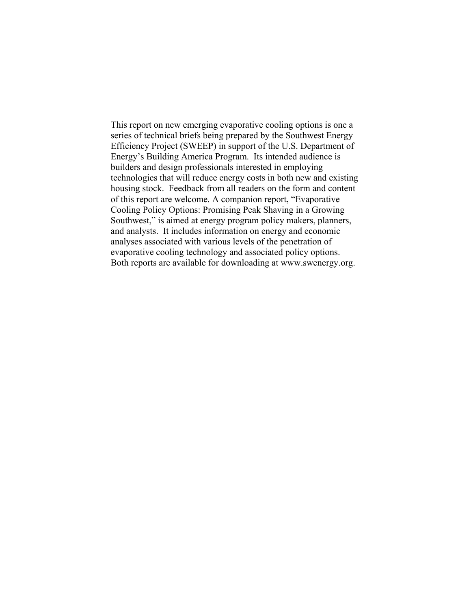This report on new emerging evaporative cooling options is one a series of technical briefs being prepared by the Southwest Energy Efficiency Project (SWEEP) in support of the U.S. Department of Energy's Building America Program. Its intended audience is builders and design professionals interested in employing technologies that will reduce energy costs in both new and existing housing stock. Feedback from all readers on the form and content of this report are welcome. A companion report, "Evaporative Cooling Policy Options: Promising Peak Shaving in a Growing Southwest," is aimed at energy program policy makers, planners, and analysts. It includes information on energy and economic analyses associated with various levels of the penetration of evaporative cooling technology and associated policy options. Both reports are available for downloading at www.swenergy.org.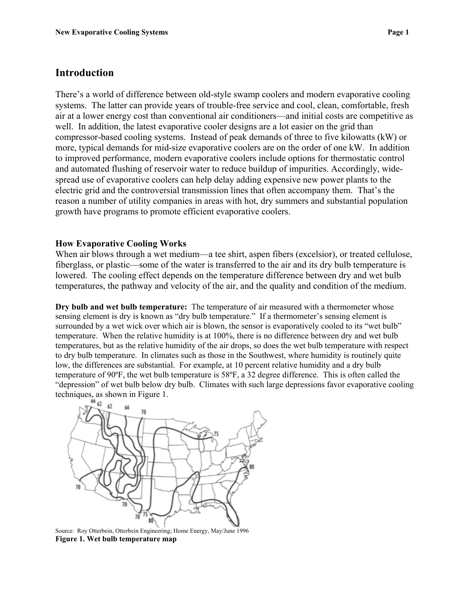#### **Introduction**

There's a world of difference between old-style swamp coolers and modern evaporative cooling systems. The latter can provide years of trouble-free service and cool, clean, comfortable, fresh air at a lower energy cost than conventional air conditioners—and initial costs are competitive as well. In addition, the latest evaporative cooler designs are a lot easier on the grid than compressor-based cooling systems. Instead of peak demands of three to five kilowatts (kW) or more, typical demands for mid-size evaporative coolers are on the order of one kW. In addition to improved performance, modern evaporative coolers include options for thermostatic control and automated flushing of reservoir water to reduce buildup of impurities. Accordingly, widespread use of evaporative coolers can help delay adding expensive new power plants to the electric grid and the controversial transmission lines that often accompany them. That's the reason a number of utility companies in areas with hot, dry summers and substantial population growth have programs to promote efficient evaporative coolers.

#### **How Evaporative Cooling Works**

When air blows through a wet medium—a tee shirt, aspen fibers (excelsior), or treated cellulose, fiberglass, or plastic—some of the water is transferred to the air and its dry bulb temperature is lowered. The cooling effect depends on the temperature difference between dry and wet bulb temperatures, the pathway and velocity of the air, and the quality and condition of the medium.

**Dry bulb and wet bulb temperature:** The temperature of air measured with a thermometer whose sensing element is dry is known as "dry bulb temperature." If a thermometer's sensing element is surrounded by a wet wick over which air is blown, the sensor is evaporatively cooled to its "wet bulb" temperature. When the relative humidity is at 100%, there is no difference between dry and wet bulb temperatures, but as the relative humidity of the air drops, so does the wet bulb temperature with respect to dry bulb temperature. In climates such as those in the Southwest, where humidity is routinely quite low, the differences are substantial. For example, at 10 percent relative humidity and a dry bulb temperature of 90ºF, the wet bulb temperature is 58ºF, a 32 degree difference. This is often called the "depression" of wet bulb below dry bulb. Climates with such large depressions favor evaporative cooling techniques, as shown in Figure 1.



Source: Roy Otterbein, Otterbein Engineering; Home Energy, May/June 1996 **Figure 1. Wet bulb temperature map**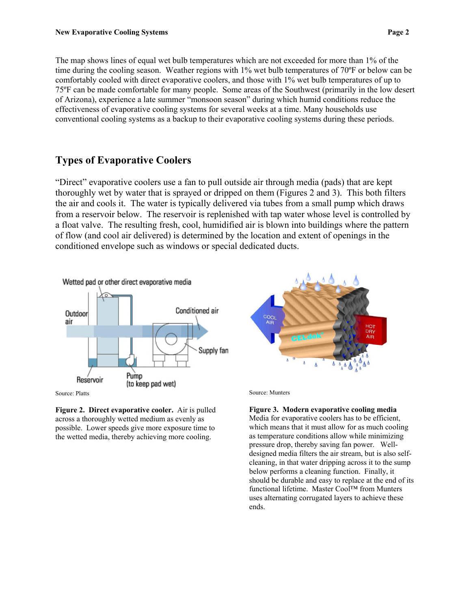The map shows lines of equal wet bulb temperatures which are not exceeded for more than 1% of the time during the cooling season. Weather regions with 1% wet bulb temperatures of 70°F or below can be comfortably cooled with direct evaporative coolers, and those with 1% wet bulb temperatures of up to 75ºF can be made comfortable for many people. Some areas of the Southwest (primarily in the low desert of Arizona), experience a late summer "monsoon season" during which humid conditions reduce the effectiveness of evaporative cooling systems for several weeks at a time. Many households use conventional cooling systems as a backup to their evaporative cooling systems during these periods.

#### **Types of Evaporative Coolers**

"Direct" evaporative coolers use a fan to pull outside air through media (pads) that are kept thoroughly wet by water that is sprayed or dripped on them (Figures 2 and 3). This both filters the air and cools it. The water is typically delivered via tubes from a small pump which draws from a reservoir below. The reservoir is replenished with tap water whose level is controlled by a float valve. The resulting fresh, cool, humidified air is blown into buildings where the pattern of flow (and cool air delivered) is determined by the location and extent of openings in the conditioned envelope such as windows or special dedicated ducts.



Source: Platts

**Figure 2. Direct evaporative cooler.** Air is pulled across a thoroughly wetted medium as evenly as possible. Lower speeds give more exposure time to the wetted media, thereby achieving more cooling.



Source: Munters

**Figure 3. Modern evaporative cooling media**  Media for evaporative coolers has to be efficient, which means that it must allow for as much cooling as temperature conditions allow while minimizing pressure drop, thereby saving fan power. Welldesigned media filters the air stream, but is also selfcleaning, in that water dripping across it to the sump below performs a cleaning function. Finally, it should be durable and easy to replace at the end of its functional lifetime. Master Cool™ from Munters uses alternating corrugated layers to achieve these ends.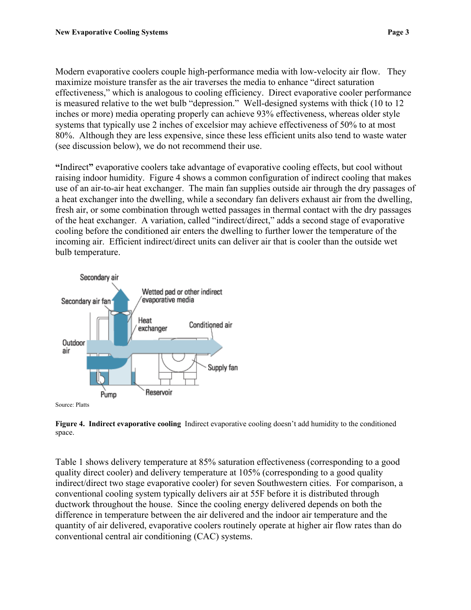Modern evaporative coolers couple high-performance media with low-velocity air flow. They maximize moisture transfer as the air traverses the media to enhance "direct saturation effectiveness," which is analogous to cooling efficiency. Direct evaporative cooler performance is measured relative to the wet bulb "depression." Well-designed systems with thick (10 to 12 inches or more) media operating properly can achieve 93% effectiveness, whereas older style systems that typically use 2 inches of excelsior may achieve effectiveness of 50% to at most 80%. Although they are less expensive, since these less efficient units also tend to waste water (see discussion below), we do not recommend their use.

**"**Indirect**"** evaporative coolers take advantage of evaporative cooling effects, but cool without raising indoor humidity. Figure 4 shows a common configuration of indirect cooling that makes use of an air-to-air heat exchanger. The main fan supplies outside air through the dry passages of a heat exchanger into the dwelling, while a secondary fan delivers exhaust air from the dwelling, fresh air, or some combination through wetted passages in thermal contact with the dry passages of the heat exchanger. A variation, called "indirect/direct," adds a second stage of evaporative cooling before the conditioned air enters the dwelling to further lower the temperature of the incoming air. Efficient indirect/direct units can deliver air that is cooler than the outside wet bulb temperature.



**Figure 4. Indirect evaporative cooling** Indirect evaporative cooling doesn't add humidity to the conditioned space.

Table 1 shows delivery temperature at 85% saturation effectiveness (corresponding to a good quality direct cooler) and delivery temperature at 105% (corresponding to a good quality indirect/direct two stage evaporative cooler) for seven Southwestern cities. For comparison, a conventional cooling system typically delivers air at 55F before it is distributed through ductwork throughout the house. Since the cooling energy delivered depends on both the difference in temperature between the air delivered and the indoor air temperature and the quantity of air delivered, evaporative coolers routinely operate at higher air flow rates than do conventional central air conditioning (CAC) systems.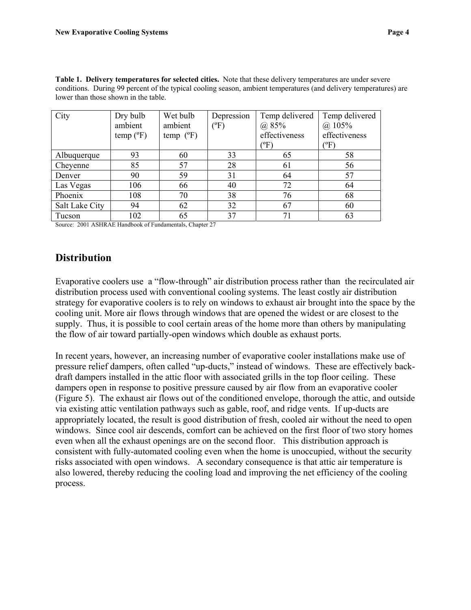**Table 1. Delivery temperatures for selected cities.** Note that these delivery temperatures are under severe conditions. During 99 percent of the typical cooling season, ambient temperatures (and delivery temperatures) are lower than those shown in the table.

| City           | Dry bulb  | Wet bulb           | Depression      | Temp delivered | Temp delivered |
|----------------|-----------|--------------------|-----------------|----------------|----------------|
|                | ambient   | ambient            | $({}^{\circ}F)$ | (a) 85%        | $(a)$ 105%     |
|                | temp (°F) | temp $(^{\circ}F)$ |                 | effectiveness  | effectiveness  |
|                |           |                    |                 | $(^{\circ}F)$  | $(^{\circ}F)$  |
| Albuquerque    | 93        | 60                 | 33              | 65             | 58             |
| Cheyenne       | 85        | 57                 | 28              | 61             | 56             |
| Denver         | 90        | 59                 | 31              | 64             | 57             |
| Las Vegas      | 106       | 66                 | 40              | 72             | 64             |
| Phoenix        | 108       | 70                 | 38              | 76             | 68             |
| Salt Lake City | 94        | 62                 | 32              | 67             | 60             |
| Tucson         | 102       | 65                 | 37              | 71             | 63             |

Source: 2001 ASHRAE Handbook of Fundamentals, Chapter 27

### **Distribution**

Evaporative coolers use a "flow-through" air distribution process rather than the recirculated air distribution process used with conventional cooling systems. The least costly air distribution strategy for evaporative coolers is to rely on windows to exhaust air brought into the space by the cooling unit. More air flows through windows that are opened the widest or are closest to the supply. Thus, it is possible to cool certain areas of the home more than others by manipulating the flow of air toward partially-open windows which double as exhaust ports.

In recent years, however, an increasing number of evaporative cooler installations make use of pressure relief dampers, often called "up-ducts," instead of windows. These are effectively backdraft dampers installed in the attic floor with associated grills in the top floor ceiling. These dampers open in response to positive pressure caused by air flow from an evaporative cooler (Figure 5). The exhaust air flows out of the conditioned envelope, thorough the attic, and outside via existing attic ventilation pathways such as gable, roof, and ridge vents. If up-ducts are appropriately located, the result is good distribution of fresh, cooled air without the need to open windows. Since cool air descends, comfort can be achieved on the first floor of two story homes even when all the exhaust openings are on the second floor. This distribution approach is consistent with fully-automated cooling even when the home is unoccupied, without the security risks associated with open windows. A secondary consequence is that attic air temperature is also lowered, thereby reducing the cooling load and improving the net efficiency of the cooling process.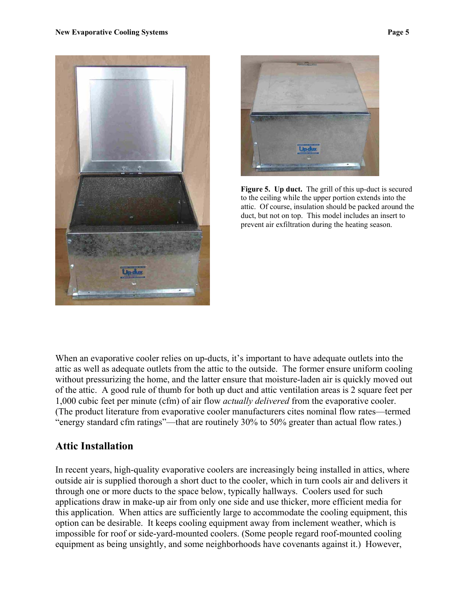



**Figure 5. Up duct.** The grill of this up-duct is secured to the ceiling while the upper portion extends into the attic. Of course, insulation should be packed around the duct, but not on top. This model includes an insert to prevent air exfiltration during the heating season.

When an evaporative cooler relies on up-ducts, it's important to have adequate outlets into the attic as well as adequate outlets from the attic to the outside. The former ensure uniform cooling without pressurizing the home, and the latter ensure that moisture-laden air is quickly moved out of the attic. A good rule of thumb for both up duct and attic ventilation areas is 2 square feet per 1,000 cubic feet per minute (cfm) of air flow *actually delivered* from the evaporative cooler. (The product literature from evaporative cooler manufacturers cites nominal flow rates—termed "energy standard cfm ratings"—that are routinely 30% to 50% greater than actual flow rates.)

### **Attic Installation**

In recent years, high-quality evaporative coolers are increasingly being installed in attics, where outside air is supplied thorough a short duct to the cooler, which in turn cools air and delivers it through one or more ducts to the space below, typically hallways. Coolers used for such applications draw in make-up air from only one side and use thicker, more efficient media for this application. When attics are sufficiently large to accommodate the cooling equipment, this option can be desirable. It keeps cooling equipment away from inclement weather, which is impossible for roof or side-yard-mounted coolers. (Some people regard roof-mounted cooling equipment as being unsightly, and some neighborhoods have covenants against it.) However,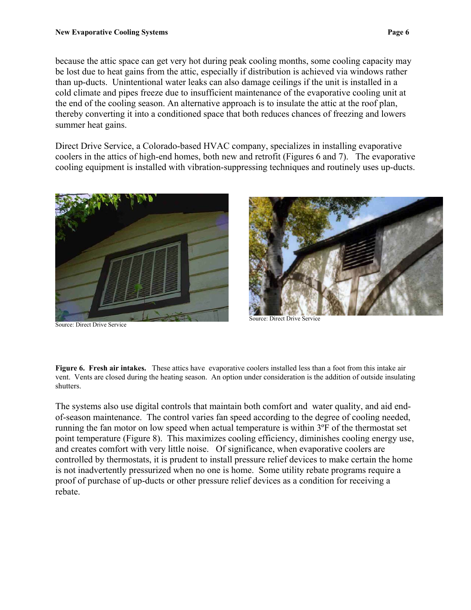because the attic space can get very hot during peak cooling months, some cooling capacity may be lost due to heat gains from the attic, especially if distribution is achieved via windows rather than up-ducts. Unintentional water leaks can also damage ceilings if the unit is installed in a cold climate and pipes freeze due to insufficient maintenance of the evaporative cooling unit at the end of the cooling season. An alternative approach is to insulate the attic at the roof plan, thereby converting it into a conditioned space that both reduces chances of freezing and lowers summer heat gains.

Direct Drive Service, a Colorado-based HVAC company, specializes in installing evaporative coolers in the attics of high-end homes, both new and retrofit (Figures 6 and 7). The evaporative cooling equipment is installed with vibration-suppressing techniques and routinely uses up-ducts.



Source: Direct Drive Service



Source: Direct Drive Service

**Figure 6. Fresh air intakes.** These attics have evaporative coolers installed less than a foot from this intake air vent. Vents are closed during the heating season. An option under consideration is the addition of outside insulating shutters.

The systems also use digital controls that maintain both comfort and water quality, and aid endof-season maintenance. The control varies fan speed according to the degree of cooling needed, running the fan motor on low speed when actual temperature is within 3ºF of the thermostat set point temperature (Figure 8). This maximizes cooling efficiency, diminishes cooling energy use, and creates comfort with very little noise. Of significance, when evaporative coolers are controlled by thermostats, it is prudent to install pressure relief devices to make certain the home is not inadvertently pressurized when no one is home. Some utility rebate programs require a proof of purchase of up-ducts or other pressure relief devices as a condition for receiving a rebate.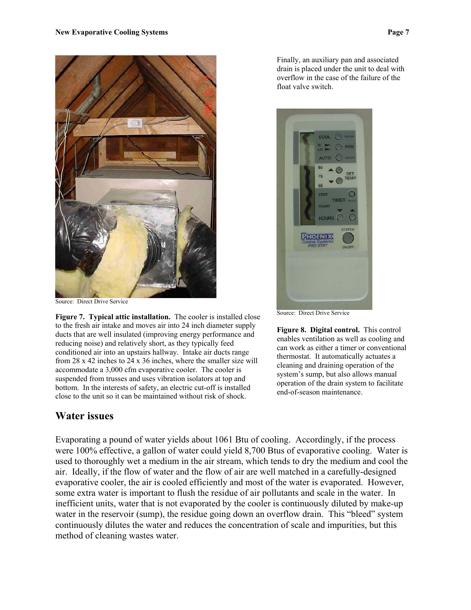

Source: Direct Drive Service

**Figure 7. Typical attic installation.** The cooler is installed close to the fresh air intake and moves air into 24 inch diameter supply ducts that are well insulated (improving energy performance and reducing noise) and relatively short, as they typically feed conditioned air into an upstairs hallway. Intake air ducts range from 28 x 42 inches to 24 x 36 inches, where the smaller size will accommodate a 3,000 cfm evaporative cooler. The cooler is suspended from trusses and uses vibration isolators at top and bottom. In the interests of safety, an electric cut-off is installed close to the unit so it can be maintained without risk of shock.

#### **Water issues**

Finally, an auxiliary pan and associated drain is placed under the unit to deal with overflow in the case of the failure of the float valve switch.



Source: Direct Drive Service

**Figure 8. Digital control.** This control enables ventilation as well as cooling and can work as either a timer or conventional thermostat. It automatically actuates a cleaning and draining operation of the system's sump, but also allows manual operation of the drain system to facilitate end-of-season maintenance.

Evaporating a pound of water yields about 1061 Btu of cooling. Accordingly, if the process were 100% effective, a gallon of water could yield 8,700 Btus of evaporative cooling. Water is used to thoroughly wet a medium in the air stream, which tends to dry the medium and cool the air. Ideally, if the flow of water and the flow of air are well matched in a carefully-designed evaporative cooler, the air is cooled efficiently and most of the water is evaporated. However, some extra water is important to flush the residue of air pollutants and scale in the water. In inefficient units, water that is not evaporated by the cooler is continuously diluted by make-up water in the reservoir (sump), the residue going down an overflow drain. This "bleed" system continuously dilutes the water and reduces the concentration of scale and impurities, but this method of cleaning wastes water.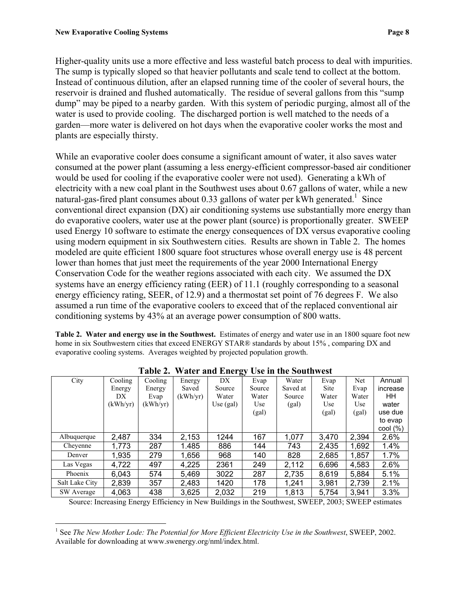Higher-quality units use a more effective and less wasteful batch process to deal with impurities. The sump is typically sloped so that heavier pollutants and scale tend to collect at the bottom. Instead of continuous dilution, after an elapsed running time of the cooler of several hours, the reservoir is drained and flushed automatically. The residue of several gallons from this "sump dump" may be piped to a nearby garden. With this system of periodic purging, almost all of the water is used to provide cooling. The discharged portion is well matched to the needs of a garden—more water is delivered on hot days when the evaporative cooler works the most and plants are especially thirsty.

While an evaporative cooler does consume a significant amount of water, it also saves water consumed at the power plant (assuming a less energy-efficient compressor-based air conditioner would be used for cooling if the evaporative cooler were not used). Generating a kWh of electricity with a new coal plant in the Southwest uses about 0.67 gallons of water, while a new natural-gas-fired plant consumes about 0.33 gallons of water per kWh generated.<sup>1</sup> Since conventional direct expansion (DX) air conditioning systems use substantially more energy than do evaporative coolers, water use at the power plant (source) is proportionally greater. SWEEP used Energy 10 software to estimate the energy consequences of DX versus evaporative cooling using modern equipment in six Southwestern cities. Results are shown in Table 2. The homes modeled are quite efficient 1800 square foot structures whose overall energy use is 48 percent lower than homes that just meet the requirements of the year 2000 International Energy Conservation Code for the weather regions associated with each city. We assumed the DX systems have an energy efficiency rating (EER) of 11.1 (roughly corresponding to a seasonal energy efficiency rating, SEER, of 12.9) and a thermostat set point of 76 degrees F. We also assumed a run time of the evaporative coolers to exceed that of the replaced conventional air conditioning systems by 43% at an average power consumption of 800 watts.

**Table 2. Water and energy use in the Southwest.** Estimates of energy and water use in an 1800 square foot new home in six Southwestern cities that exceed ENERGY STAR® standards by about 15%, comparing DX and evaporative cooling systems. Averages weighted by projected population growth.

|                |          |          |          | ອມ          |            |          |       |            |                   |
|----------------|----------|----------|----------|-------------|------------|----------|-------|------------|-------------------|
| City           | Cooling  | Cooling  | Energy   | DX          | Evap       | Water    | Evap  | <b>Net</b> | Annual            |
|                | Energy   | Energy   | Saved    | Source      | Source     | Saved at | Site  | Evap       | increase          |
|                | DX       | Evap     | (kWh/yr) | Water       | Water      | Source   | Water | Water      | HН                |
|                | (kWh/vr) | (kWh/yr) |          | Use $(gal)$ | <b>Use</b> | (gal)    | Use   | Use        | water             |
|                |          |          |          |             | (gal)      |          | (gal) | (gal)      | use due           |
|                |          |          |          |             |            |          |       |            | to evap           |
|                |          |          |          |             |            |          |       |            | $\text{cool}(\%)$ |
| Albuquerque    | 2,487    | 334      | 2,153    | 1244        | 167        | 1,077    | 3,470 | 2,394      | 2.6%              |
| Cheyenne       | 1,773    | 287      | 1.485    | 886         | 144        | 743      | 2,435 | 1,692      | 1.4%              |
| Denver         | 1,935    | 279      | 1,656    | 968         | 140        | 828      | 2,685 | 1,857      | $1.7\%$           |
| Las Vegas      | 4,722    | 497      | 4,225    | 2361        | 249        | 2,112    | 6,696 | 4,583      | 2.6%              |
| Phoenix        | 6,043    | 574      | 5,469    | 3022        | 287        | 2,735    | 8,619 | 5,884      | 5.1%              |
| Salt Lake City | 2,839    | 357      | 2,483    | 1420        | 178        | 1,241    | 3,981 | 2,739      | 2.1%              |
| SW Average     | 4,063    | 438      | 3,625    | 2,032       | 219        | 1,813    | 5,754 | 3,941      | 3.3%              |

|  |  |  |  | Table 2. Water and Energy Use in the Southwest |  |
|--|--|--|--|------------------------------------------------|--|
|--|--|--|--|------------------------------------------------|--|

Source: Increasing Energy Efficiency in New Buildings in the Southwest, SWEEP, 2003; SWEEP estimates

<span id="page-9-0"></span> $\overline{a}$ <sup>1</sup> See *The New Mother Lode: The Potential for More Efficient Electricity Use in the Southwest, SWEEP, 2002.* Available for downloading at www.swenergy.org/nml/index.html.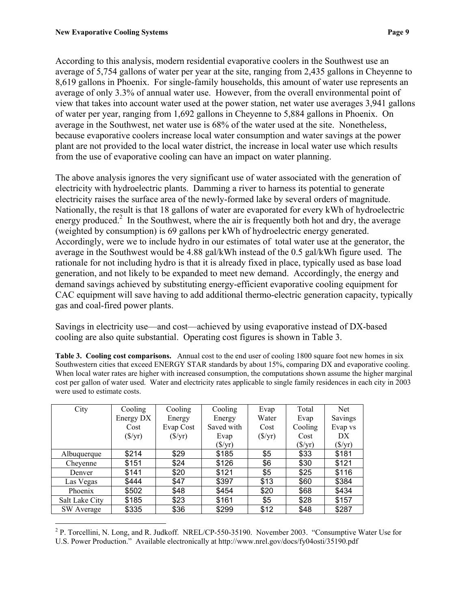According to this analysis, modern residential evaporative coolers in the Southwest use an average of 5,754 gallons of water per year at the site, ranging from 2,435 gallons in Cheyenne to 8,619 gallons in Phoenix. For single-family households, this amount of water use represents an average of only 3.3% of annual water use. However, from the overall environmental point of view that takes into account water used at the power station, net water use averages 3,941 gallons of water per year, ranging from 1,692 gallons in Cheyenne to 5,884 gallons in Phoenix. On average in the Southwest, net water use is 68% of the water used at the site. Nonetheless, because evaporative coolers increase local water consumption and water savings at the power plant are not provided to the local water district, the increase in local water use which results from the use of evaporative cooling can have an impact on water planning.

The above analysis ignores the very significant use of water associated with the generation of electricity with hydroelectric plants. Damming a river to harness its potential to generate electricity raises the surface area of the newly-formed lake by several orders of magnitude. Nationally, the result is that 18 gallons of water are evaporated for every kWh of hydroelectric energy produced.<sup>2</sup> In the Southwest, where the air is frequently both hot and dry, the average (weighted by consumption) is 69 gallons per kWh of hydroelectric energy generated. Accordingly, were we to include hydro in our estimates of total water use at the generator, the average in the Southwest would be 4.88 gal/kWh instead of the 0.5 gal/kWh figure used. The rationale for not including hydro is that it is already fixed in place, typically used as base load generation, and not likely to be expanded to meet new demand. Accordingly, the energy and demand savings achieved by substituting energy-efficient evaporative cooling equipment for CAC equipment will save having to add additional thermo-electric generation capacity, typically gas and coal-fired power plants.

Savings in electricity use—and cost—achieved by using evaporative instead of DX-based cooling are also quite substantial. Operating cost figures is shown in Table 3.

**Table 3. Cooling cost comparisons.** Annual cost to the end user of cooling 1800 square foot new homes in six Southwestern cities that exceed ENERGY STAR standards by about 15%, comparing DX and evaporative cooling. When local water rates are higher with increased consumption, the computations shown assume the higher marginal cost per gallon of water used. Water and electricity rates applicable to single family residences in each city in 2003 were used to estimate costs.

| City           | Cooling         | Cooling                | Cooling                | Evap            | Total           | <b>Net</b>      |
|----------------|-----------------|------------------------|------------------------|-----------------|-----------------|-----------------|
|                | Energy DX       | Energy                 | Energy                 | Water           | Evap            | Savings         |
|                | Cost            | Evap Cost              | Saved with             | Cost            | Cooling         | Evap vs         |
|                | $(\frac{f}{f})$ | $(\frac{\sqrt{3}}{y})$ | Evap                   | $(\frac{f}{f})$ | Cost            | DX              |
|                |                 |                        | $(\frac{\sqrt{3}}{Y})$ |                 | $(\frac{f}{f})$ | $(\frac{f}{f})$ |
| Albuquerque    | \$214           | \$29                   | \$185                  | \$5             | \$33            | \$181           |
| Cheyenne       | \$151           | \$24                   | \$126                  | \$6             | \$30            | \$121           |
| Denver         | \$141           | \$20                   | \$121                  | \$5             | \$25            | \$116           |
| Las Vegas      | \$444           | \$47                   | \$397                  | \$13            | \$60            | \$384           |
| Phoenix        | \$502           | \$48                   | \$454                  | \$20            | \$68            | \$434           |
| Salt Lake City | \$185           | \$23                   | \$161                  | \$5             | \$28            | \$157           |
| SW Average     | \$335           | \$36                   | \$299                  | \$12            | \$48            | \$287           |

<span id="page-10-0"></span> $\overline{a}$ <sup>2</sup> P. Torcellini, N. Long, and R. Judkoff. NREL/CP-550-35190. November 2003. "Consumptive Water Use for U.S. Power Production." Available electronically at http://www.nrel.gov/docs/fy04osti/35190.pdf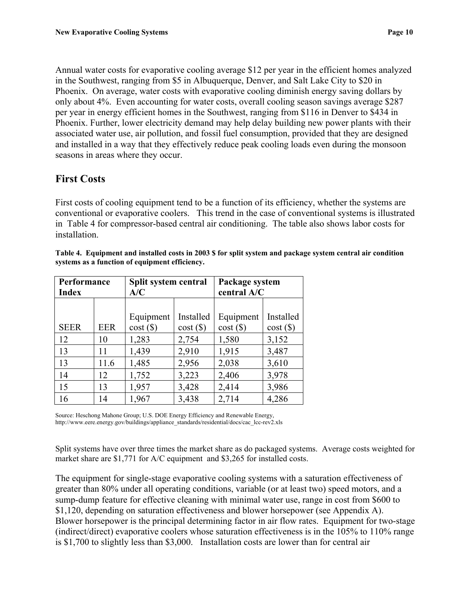Annual water costs for evaporative cooling average \$12 per year in the efficient homes analyzed in the Southwest, ranging from \$5 in Albuquerque, Denver, and Salt Lake City to \$20 in Phoenix. On average, water costs with evaporative cooling diminish energy saving dollars by only about 4%. Even accounting for water costs, overall cooling season savings average \$287 per year in energy efficient homes in the Southwest, ranging from \$116 in Denver to \$434 in Phoenix. Further, lower electricity demand may help delay building new power plants with their associated water use, air pollution, and fossil fuel consumption, provided that they are designed and installed in a way that they effectively reduce peak cooling loads even during the monsoon seasons in areas where they occur.

## **First Costs**

First costs of cooling equipment tend to be a function of its efficiency, whether the systems are conventional or evaporative coolers. This trend in the case of conventional systems is illustrated in Table 4 for compressor-based central air conditioning. The table also shows labor costs for installation.

| Performance<br><b>Index</b> |            | Split system central<br>A/C |                     | Package system<br>central A/C |                     |  |
|-----------------------------|------------|-----------------------------|---------------------|-------------------------------|---------------------|--|
| <b>SEER</b>                 | <b>EER</b> | Equipment<br>cost()         | Installed<br>cost() | Equipment<br>cost()           | Installed<br>cost() |  |
| 12                          | 10         | 1,283                       | 2,754               | 1,580                         | 3,152               |  |
| 13                          | 11         | 1,439                       | 2,910               | 1,915                         | 3,487               |  |
| 13                          | 11.6       | 1,485                       | 2,956               | 2,038                         | 3,610               |  |
| 14                          | 12         | 1,752                       | 3,223               | 2,406                         | 3,978               |  |
| 15                          | 13         | 1,957                       | 3,428               | 2,414                         | 3,986               |  |
| 16                          | 14         | 1,967                       | 3,438               | 2,714                         | 4,286               |  |

|                                                | Table 4. Equipment and installed costs in 2003 \$ for split system and package system central air condition |  |  |
|------------------------------------------------|-------------------------------------------------------------------------------------------------------------|--|--|
| systems as a function of equipment efficiency. |                                                                                                             |  |  |

Source: Heschong Mahone Group; U.S. DOE Energy Efficiency and Renewable Energy, http://www.eere.energy.gov/buildings/appliance\_standards/residential/docs/cac\_lcc-rev2.xls

Split systems have over three times the market share as do packaged systems. Average costs weighted for market share are \$1,771 for A/C equipment and \$3,265 for installed costs.

The equipment for single-stage evaporative cooling systems with a saturation effectiveness of greater than 80% under all operating conditions, variable (or at least two) speed motors, and a sump-dump feature for effective cleaning with minimal water use, range in cost from \$600 to \$1,120, depending on saturation effectiveness and blower horsepower (see Appendix A). Blower horsepower is the principal determining factor in air flow rates. Equipment for two-stage (indirect/direct) evaporative coolers whose saturation effectiveness is in the 105% to 110% range is \$1,700 to slightly less than \$3,000. Installation costs are lower than for central air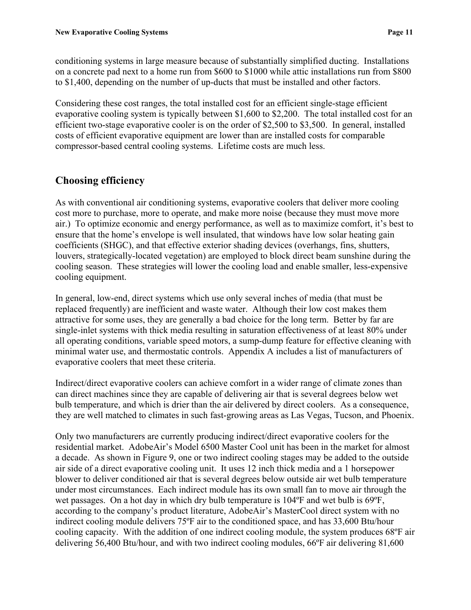conditioning systems in large measure because of substantially simplified ducting. Installations on a concrete pad next to a home run from \$600 to \$1000 while attic installations run from \$800 to \$1,400, depending on the number of up-ducts that must be installed and other factors.

Considering these cost ranges, the total installed cost for an efficient single-stage efficient evaporative cooling system is typically between \$1,600 to \$2,200. The total installed cost for an efficient two-stage evaporative cooler is on the order of \$2,500 to \$3,500. In general, installed costs of efficient evaporative equipment are lower than are installed costs for comparable compressor-based central cooling systems. Lifetime costs are much less.

## **Choosing efficiency**

As with conventional air conditioning systems, evaporative coolers that deliver more cooling cost more to purchase, more to operate, and make more noise (because they must move more air.) To optimize economic and energy performance, as well as to maximize comfort, it's best to ensure that the home's envelope is well insulated, that windows have low solar heating gain coefficients (SHGC), and that effective exterior shading devices (overhangs, fins, shutters, louvers, strategically-located vegetation) are employed to block direct beam sunshine during the cooling season. These strategies will lower the cooling load and enable smaller, less-expensive cooling equipment.

In general, low-end, direct systems which use only several inches of media (that must be replaced frequently) are inefficient and waste water. Although their low cost makes them attractive for some uses, they are generally a bad choice for the long term. Better by far are single-inlet systems with thick media resulting in saturation effectiveness of at least 80% under all operating conditions, variable speed motors, a sump-dump feature for effective cleaning with minimal water use, and thermostatic controls. Appendix A includes a list of manufacturers of evaporative coolers that meet these criteria.

Indirect/direct evaporative coolers can achieve comfort in a wider range of climate zones than can direct machines since they are capable of delivering air that is several degrees below wet bulb temperature, and which is drier than the air delivered by direct coolers. As a consequence, they are well matched to climates in such fast-growing areas as Las Vegas, Tucson, and Phoenix.

Only two manufacturers are currently producing indirect/direct evaporative coolers for the residential market. AdobeAir's Model 6500 Master Cool unit has been in the market for almost a decade. As shown in Figure 9, one or two indirect cooling stages may be added to the outside air side of a direct evaporative cooling unit. It uses 12 inch thick media and a 1 horsepower blower to deliver conditioned air that is several degrees below outside air wet bulb temperature under most circumstances. Each indirect module has its own small fan to move air through the wet passages. On a hot day in which dry bulb temperature is 104ºF and wet bulb is 69ºF, according to the company's product literature, AdobeAir's MasterCool direct system with no indirect cooling module delivers 75ºF air to the conditioned space, and has 33,600 Btu/hour cooling capacity. With the addition of one indirect cooling module, the system produces 68ºF air delivering 56,400 Btu/hour, and with two indirect cooling modules, 66ºF air delivering 81,600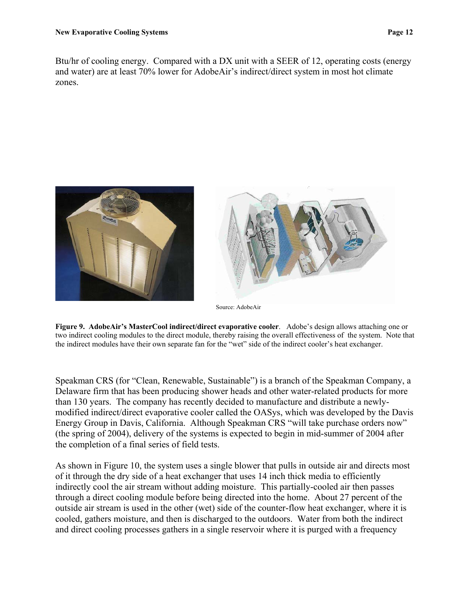Btu/hr of cooling energy. Compared with a DX unit with a SEER of 12, operating costs (energy

and water) are at least 70% lower for AdobeAir's indirect/direct system in most hot climate zones.



**Figure 9. AdobeAir's MasterCool indirect/direct evaporative cooler**. Adobe's design allows attaching one or two indirect cooling modules to the direct module, thereby raising the overall effectiveness of the system. Note that the indirect modules have their own separate fan for the "wet" side of the indirect cooler's heat exchanger.

Speakman CRS (for "Clean, Renewable, Sustainable") is a branch of the Speakman Company, a Delaware firm that has been producing shower heads and other water-related products for more than 130 years. The company has recently decided to manufacture and distribute a newlymodified indirect/direct evaporative cooler called the OASys, which was developed by the Davis Energy Group in Davis, California. Although Speakman CRS "will take purchase orders now" (the spring of 2004), delivery of the systems is expected to begin in mid-summer of 2004 after the completion of a final series of field tests.

As shown in Figure 10, the system uses a single blower that pulls in outside air and directs most of it through the dry side of a heat exchanger that uses 14 inch thick media to efficiently indirectly cool the air stream without adding moisture. This partially-cooled air then passes through a direct cooling module before being directed into the home. About 27 percent of the outside air stream is used in the other (wet) side of the counter-flow heat exchanger, where it is cooled, gathers moisture, and then is discharged to the outdoors. Water from both the indirect and direct cooling processes gathers in a single reservoir where it is purged with a frequency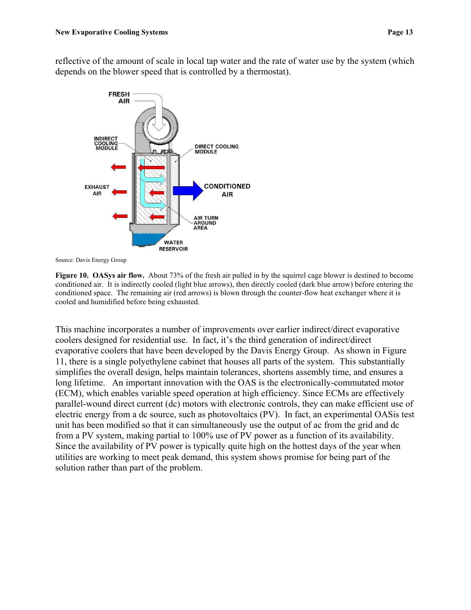reflective of the amount of scale in local tap water and the rate of water use by the system (which depends on the blower speed that is controlled by a thermostat).



Source: Davis Energy Group

**Figure 10. OASys air flow.** About 73% of the fresh air pulled in by the squirrel cage blower is destined to become conditioned air. It is indirectly cooled (light blue arrows), then directly cooled (dark blue arrow) before entering the conditioned space. The remaining air (red arrows) is blown through the counter-flow heat exchanger where it is cooled and humidified before being exhausted.

This machine incorporates a number of improvements over earlier indirect/direct evaporative coolers designed for residential use. In fact, it's the third generation of indirect/direct evaporative coolers that have been developed by the Davis Energy Group. As shown in Figure 11, there is a single polyethylene cabinet that houses all parts of the system. This substantially simplifies the overall design, helps maintain tolerances, shortens assembly time, and ensures a long lifetime. An important innovation with the OAS is the electronically-commutated motor (ECM), which enables variable speed operation at high efficiency. Since ECMs are effectively parallel-wound direct current (dc) motors with electronic controls, they can make efficient use of electric energy from a dc source, such as photovoltaics (PV). In fact, an experimental OASis test unit has been modified so that it can simultaneously use the output of ac from the grid and dc from a PV system, making partial to 100% use of PV power as a function of its availability. Since the availability of PV power is typically quite high on the hottest days of the year when utilities are working to meet peak demand, this system shows promise for being part of the solution rather than part of the problem.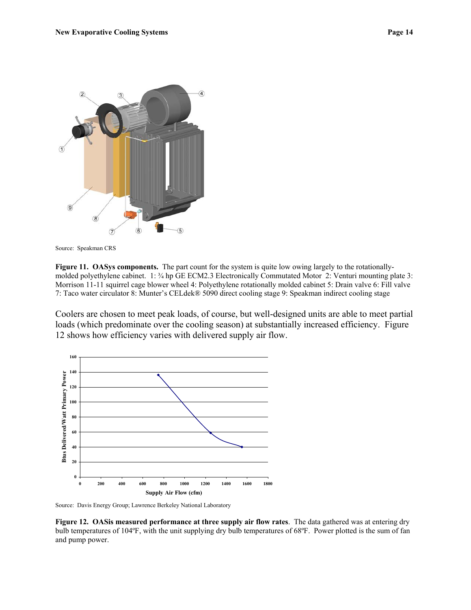

Source: Speakman CRS

**Figure 11. OASys components.** The part count for the system is quite low owing largely to the rotationallymolded polyethylene cabinet. 1: ¾ hp GE ECM2.3 Electronically Commutated Motor 2: Venturi mounting plate 3: Morrison 11-11 squirrel cage blower wheel 4: Polyethylene rotationally molded cabinet 5: Drain valve 6: Fill valve 7: Taco water circulator 8: Munter's CELdek® 5090 direct cooling stage 9: Speakman indirect cooling stage

Coolers are chosen to meet peak loads, of course, but well-designed units are able to meet partial loads (which predominate over the cooling season) at substantially increased efficiency. Figure 12 shows how efficiency varies with delivered supply air flow.



Source: Davis Energy Group; Lawrence Berkeley National Laboratory

**Figure 12. OASis measured performance at three supply air flow rates**. The data gathered was at entering dry bulb temperatures of 104ºF, with the unit supplying dry bulb temperatures of 68ºF. Power plotted is the sum of fan and pump power.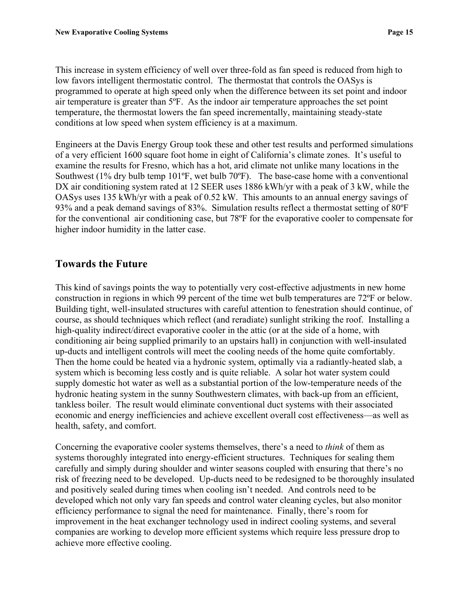This increase in system efficiency of well over three-fold as fan speed is reduced from high to low favors intelligent thermostatic control. The thermostat that controls the OASys is programmed to operate at high speed only when the difference between its set point and indoor air temperature is greater than 5ºF. As the indoor air temperature approaches the set point temperature, the thermostat lowers the fan speed incrementally, maintaining steady-state conditions at low speed when system efficiency is at a maximum.

Engineers at the Davis Energy Group took these and other test results and performed simulations of a very efficient 1600 square foot home in eight of California's climate zones. It's useful to examine the results for Fresno, which has a hot, arid climate not unlike many locations in the Southwest (1% dry bulb temp 101ºF, wet bulb 70ºF). The base-case home with a conventional DX air conditioning system rated at 12 SEER uses 1886 kWh/yr with a peak of 3 kW, while the OASys uses 135 kWh/yr with a peak of 0.52 kW. This amounts to an annual energy savings of 93% and a peak demand savings of 83%. Simulation results reflect a thermostat setting of 80ºF for the conventional air conditioning case, but 78ºF for the evaporative cooler to compensate for higher indoor humidity in the latter case.

# **Towards the Future**

This kind of savings points the way to potentially very cost-effective adjustments in new home construction in regions in which 99 percent of the time wet bulb temperatures are 72ºF or below. Building tight, well-insulated structures with careful attention to fenestration should continue, of course, as should techniques which reflect (and reradiate) sunlight striking the roof. Installing a high-quality indirect/direct evaporative cooler in the attic (or at the side of a home, with conditioning air being supplied primarily to an upstairs hall) in conjunction with well-insulated up-ducts and intelligent controls will meet the cooling needs of the home quite comfortably. Then the home could be heated via a hydronic system, optimally via a radiantly-heated slab, a system which is becoming less costly and is quite reliable. A solar hot water system could supply domestic hot water as well as a substantial portion of the low-temperature needs of the hydronic heating system in the sunny Southwestern climates, with back-up from an efficient, tankless boiler. The result would eliminate conventional duct systems with their associated economic and energy inefficiencies and achieve excellent overall cost effectiveness—as well as health, safety, and comfort.

Concerning the evaporative cooler systems themselves, there's a need to *think* of them as systems thoroughly integrated into energy-efficient structures. Techniques for sealing them carefully and simply during shoulder and winter seasons coupled with ensuring that there's no risk of freezing need to be developed. Up-ducts need to be redesigned to be thoroughly insulated and positively sealed during times when cooling isn't needed. And controls need to be developed which not only vary fan speeds and control water cleaning cycles, but also monitor efficiency performance to signal the need for maintenance. Finally, there's room for improvement in the heat exchanger technology used in indirect cooling systems, and several companies are working to develop more efficient systems which require less pressure drop to achieve more effective cooling.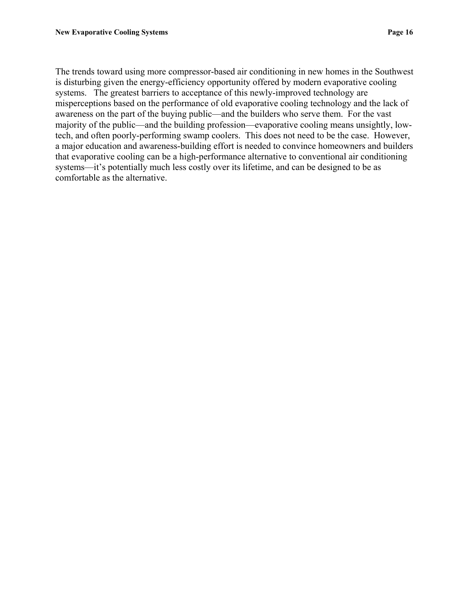The trends toward using more compressor-based air conditioning in new homes in the Southwest is disturbing given the energy-efficiency opportunity offered by modern evaporative cooling systems. The greatest barriers to acceptance of this newly-improved technology are misperceptions based on the performance of old evaporative cooling technology and the lack of awareness on the part of the buying public—and the builders who serve them. For the vast majority of the public—and the building profession—evaporative cooling means unsightly, lowtech, and often poorly-performing swamp coolers. This does not need to be the case. However, a major education and awareness-building effort is needed to convince homeowners and builders that evaporative cooling can be a high-performance alternative to conventional air conditioning systems—it's potentially much less costly over its lifetime, and can be designed to be as comfortable as the alternative.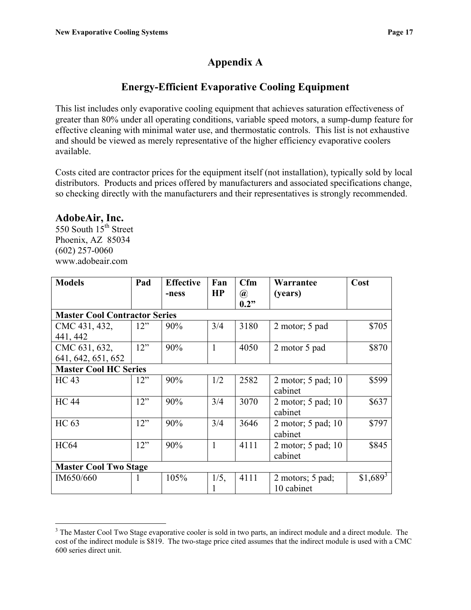# **Appendix A**

# **Energy-Efficient Evaporative Cooling Equipment**

This list includes only evaporative cooling equipment that achieves saturation effectiveness of greater than 80% under all operating conditions, variable speed motors, a sump-dump feature for effective cleaning with minimal water use, and thermostatic controls. This list is not exhaustive and should be viewed as merely representative of the higher efficiency evaporative coolers available.

Costs cited are contractor prices for the equipment itself (not installation), typically sold by local distributors. Products and prices offered by manufacturers and associated specifications change, so checking directly with the manufacturers and their representatives is strongly recommended.

#### **AdobeAir, Inc.**

550 South 15<sup>th</sup> Street Phoenix, AZ 85034 (602) 257-0060 www.adobeair.com

| <b>Models</b>                        | Pad | <b>Effective</b> | Fan          | Cfm                  | Warrantee          | Cost       |  |  |  |
|--------------------------------------|-----|------------------|--------------|----------------------|--------------------|------------|--|--|--|
|                                      |     | -ness            | HP           | $^{\textregistered}$ | (years)            |            |  |  |  |
|                                      |     |                  |              | 0.2"                 |                    |            |  |  |  |
| <b>Master Cool Contractor Series</b> |     |                  |              |                      |                    |            |  |  |  |
| CMC 431, 432,                        | 12" | 90%              | 3/4          | 3180                 | 2 motor; 5 pad     | \$705      |  |  |  |
| 441, 442                             |     |                  |              |                      |                    |            |  |  |  |
| CMC 631, 632,                        | 12" | 90%              | $\mathbf{1}$ | 4050                 | 2 motor 5 pad      | \$870      |  |  |  |
| 641, 642, 651, 652                   |     |                  |              |                      |                    |            |  |  |  |
| <b>Master Cool HC Series</b>         |     |                  |              |                      |                    |            |  |  |  |
| <b>HC</b> 43                         | 12" | 90%              | 1/2          | 2582                 | 2 motor; 5 pad; 10 | \$599      |  |  |  |
|                                      |     |                  |              |                      | cabinet            |            |  |  |  |
| <b>HC</b> 44                         | 12" | 90%              | 3/4          | 3070                 | 2 motor; 5 pad; 10 | \$637      |  |  |  |
|                                      |     |                  |              |                      | cabinet            |            |  |  |  |
| <b>HC</b> 63                         | 12" | 90%              | 3/4          | 3646                 | 2 motor; 5 pad; 10 | \$797      |  |  |  |
|                                      |     |                  |              |                      | cabinet            |            |  |  |  |
| <b>HC64</b>                          | 12" | 90%              | 1            | 4111                 | 2 motor; 5 pad; 10 | \$845      |  |  |  |
|                                      |     |                  |              |                      | cabinet            |            |  |  |  |
| <b>Master Cool Two Stage</b>         |     |                  |              |                      |                    |            |  |  |  |
| IM650/660                            | 1   | 105%             | 1/5,         | 4111                 | 2 motors; 5 pad;   | $$1,689^3$ |  |  |  |
|                                      |     |                  |              |                      | 10 cabinet         |            |  |  |  |

<span id="page-18-0"></span> $\overline{a}$ <sup>3</sup> The Master Cool Two Stage evaporative cooler is sold in two parts, an indirect module and a direct module. The cost of the indirect module is \$819. The two-stage price cited assumes that the indirect module is used with a CMC 600 series direct unit.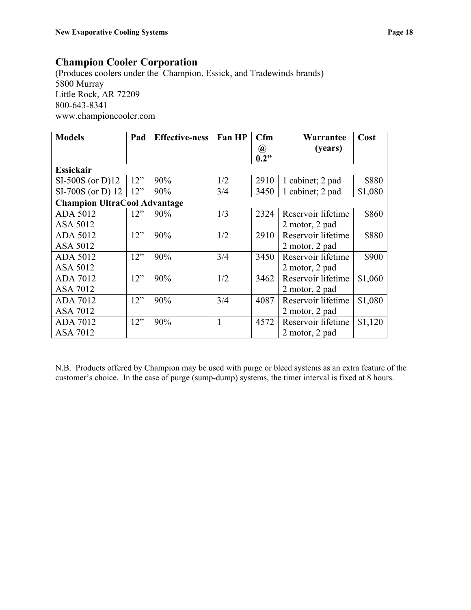### **Champion Cooler Corporation**

(Produces coolers under the Champion, Essick, and Tradewinds brands) 5800 Murray Little Rock, AR 72209 800-643-8341 [www.championcooler.com](http://www.championcooler.com/)

| <b>Models</b>                       | Pad | <b>Effective-ness</b> | Fan HP | Cfm                                     | Warrantee          | Cost    |
|-------------------------------------|-----|-----------------------|--------|-----------------------------------------|--------------------|---------|
|                                     |     |                       |        | $\left(\widehat{\boldsymbol{a}}\right)$ | (years)            |         |
|                                     |     |                       |        | 0.2"                                    |                    |         |
| <b>Essickair</b>                    |     |                       |        |                                         |                    |         |
| $SI-500S$ (or D)12                  | 12" | 90%                   | 1/2    | 2910                                    | 1 cabinet; 2 pad   | \$880   |
| $SI-700S$ (or D) 12                 | 12" | 90%                   | 3/4    | 3450                                    | 1 cabinet; 2 pad   | \$1,080 |
| <b>Champion UltraCool Advantage</b> |     |                       |        |                                         |                    |         |
| <b>ADA 5012</b>                     | 12" | 90%                   | 1/3    | 2324                                    | Reservoir lifetime | \$860   |
| ASA 5012                            |     |                       |        |                                         | 2 motor, 2 pad     |         |
| <b>ADA 5012</b>                     | 12" | 90%                   | 1/2    | 2910                                    | Reservoir lifetime | \$880   |
| <b>ASA 5012</b>                     |     |                       |        |                                         | 2 motor, 2 pad     |         |
| <b>ADA 5012</b>                     | 12" | 90%                   | 3/4    | 3450                                    | Reservoir lifetime | \$900   |
| ASA 5012                            |     |                       |        |                                         | 2 motor, 2 pad     |         |
| ADA 7012                            | 12" | 90%                   | 1/2    | 3462                                    | Reservoir lifetime | \$1,060 |
| <b>ASA 7012</b>                     |     |                       |        |                                         | 2 motor, 2 pad     |         |
| <b>ADA 7012</b>                     | 12" | 90%                   | 3/4    | 4087                                    | Reservoir lifetime | \$1,080 |
| <b>ASA 7012</b>                     |     |                       |        |                                         | 2 motor, 2 pad     |         |
| <b>ADA 7012</b>                     | 12" | 90%                   | 1      | 4572                                    | Reservoir lifetime | \$1,120 |
| <b>ASA 7012</b>                     |     |                       |        |                                         | 2 motor, 2 pad     |         |

N.B. Products offered by Champion may be used with purge or bleed systems as an extra feature of the customer's choice. In the case of purge (sump-dump) systems, the timer interval is fixed at 8 hours.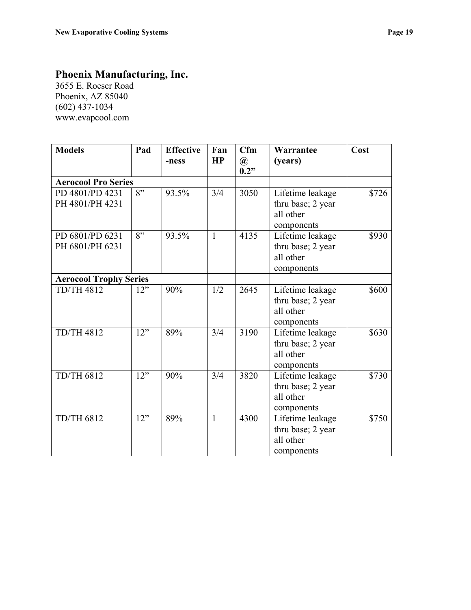# **Phoenix Manufacturing, Inc.**

3655 E. Roeser Road Phoenix, AZ 85040 (602) 437-1034 [www.evapcool.com](http://www.evapcool.com/)

| <b>Models</b>                      | Pad | <b>Effective</b><br>-ness | Fan<br>HP    | Cfm<br>$^{\textregistered}$<br>0.2" | Warrantee<br>(years)                                             | Cost  |
|------------------------------------|-----|---------------------------|--------------|-------------------------------------|------------------------------------------------------------------|-------|
| <b>Aerocool Pro Series</b>         |     |                           |              |                                     |                                                                  |       |
| PD 4801/PD 4231<br>PH 4801/PH 4231 | 8"  | 93.5%                     | 3/4          | 3050                                | Lifetime leakage<br>thru base; 2 year<br>all other<br>components | \$726 |
| PD 6801/PD 6231<br>PH 6801/PH 6231 | 8"  | 93.5%                     | $\mathbf{1}$ | 4135                                | Lifetime leakage<br>thru base; 2 year<br>all other<br>components | \$930 |
| <b>Aerocool Trophy Series</b>      |     |                           |              |                                     |                                                                  |       |
| <b>TD/TH 4812</b>                  | 12" | 90%                       | 1/2          | 2645                                | Lifetime leakage<br>thru base; 2 year<br>all other<br>components | \$600 |
| <b>TD/TH 4812</b>                  | 12" | 89%                       | 3/4          | 3190                                | Lifetime leakage<br>thru base; 2 year<br>all other<br>components | \$630 |
| <b>TD/TH 6812</b>                  | 12" | 90%                       | 3/4          | 3820                                | Lifetime leakage<br>thru base; 2 year<br>all other<br>components | \$730 |
| <b>TD/TH 6812</b>                  | 12" | 89%                       | $\mathbf{1}$ | 4300                                | Lifetime leakage<br>thru base; 2 year<br>all other<br>components | \$750 |